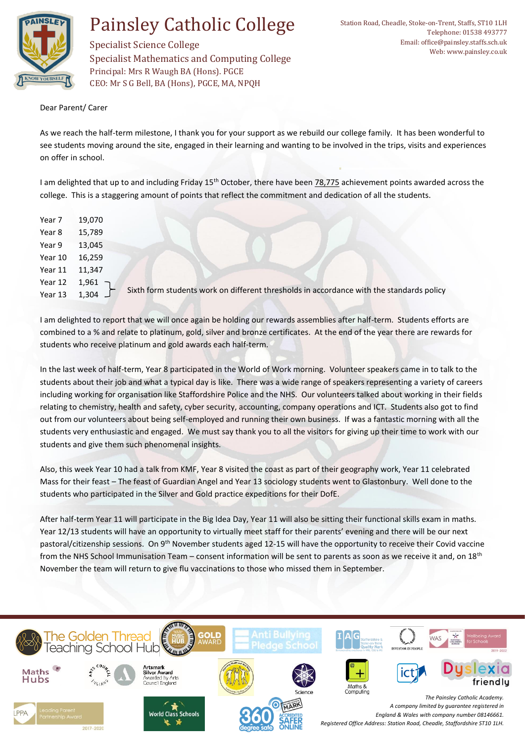

## Painsley Catholic College

Specialist Science College Specialist Mathematics and Computing College Principal: Mrs R Waugh BA (Hons). PGCE CEO: Mr S G Bell, BA (Hons), PGCE, MA, NPQH

Dear Parent/ Carer

As we reach the half-term milestone, I thank you for your support as we rebuild our college family. It has been wonderful to see students moving around the site, engaged in their learning and wanting to be involved in the trips, visits and experiences on offer in school.

I am delighted that up to and including Friday 15<sup>th</sup> October, there have been 78,775 achievement points awarded across the college. This is a staggering amount of points that reflect the commitment and dedication of all the students.

| Year 7  | 19,070            |                                                                                          |
|---------|-------------------|------------------------------------------------------------------------------------------|
| Year 8  | 15,789            |                                                                                          |
| Year 9  | 13,045            |                                                                                          |
| Year 10 | 16,259            |                                                                                          |
| Year 11 | 11,347            |                                                                                          |
| Year 12 | $1,961$ $\bigcap$ |                                                                                          |
| Year 13 | 1,304 $\Box$      | Sixth form students work on different thresholds in accordance with the standards policy |
|         |                   |                                                                                          |

I am delighted to report that we will once again be holding our rewards assemblies after half-term. Students efforts are combined to a % and relate to platinum, gold, silver and bronze certificates. At the end of the year there are rewards for students who receive platinum and gold awards each half-term.

In the last week of half-term, Year 8 participated in the World of Work morning. Volunteer speakers came in to talk to the students about their job and what a typical day is like. There was a wide range of speakers representing a variety of careers including working for organisation like Staffordshire Police and the NHS. Our volunteers talked about working in their fields relating to chemistry, health and safety, cyber security, accounting, company operations and ICT. Students also got to find out from our volunteers about being self-employed and running their own business. If was a fantastic morning with all the students very enthusiastic and engaged. We must say thank you to all the visitors for giving up their time to work with our students and give them such phenomenal insights.

Also, this week Year 10 had a talk from KMF, Year 8 visited the coast as part of their geography work, Year 11 celebrated Mass for their feast – The feast of Guardian Angel and Year 13 sociology students went to Glastonbury. Well done to the students who participated in the Silver and Gold practice expeditions for their DofE.

After half-term Year 11 will participate in the Big Idea Day, Year 11 will also be sitting their functional skills exam in maths. Year 12/13 students will have an opportunity to virtually meet staff for their parents' evening and there will be our next pastoral/citizenship sessions. On 9<sup>th</sup> November students aged 12-15 will have the opportunity to receive their Covid vaccine from the NHS School Immunisation Team – consent information will be sent to parents as soon as we receive it and, on 18<sup>th</sup> November the team will return to give flu vaccinations to those who missed them in September.